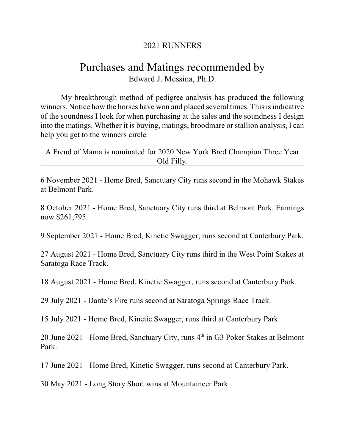## 2021 RUNNERS

## Purchases and Matings recommended by Edward J. Messina, Ph.D.

My breakthrough method of pedigree analysis has produced the following winners. Notice how the horses have won and placed several times. This is indicative of the soundness I look for when purchasing at the sales and the soundness I design into the matings. Whether it is buying, matings, broodmare or stallion analysis, I can help you get to the winners circle.

A Freud of Mama is nominated for 2020 New York Bred Champion Three Year Old Filly.

6 November 2021 - Home Bred, Sanctuary City runs second in the Mohawk Stakes at Belmont Park.

8 October 2021 - Home Bred, Sanctuary City runs third at Belmont Park. Earnings now \$261,795.

9 September 2021 - Home Bred, Kinetic Swagger, runs second at Canterbury Park.

27 August 2021 - Home Bred, Sanctuary City runs third in the West Point Stakes at Saratoga Race Track.

18 August 2021 - Home Bred, Kinetic Swagger, runs second at Canterbury Park.

29 July 2021 - Dante's Fire runs second at Saratoga Springs Race Track.

15 July 2021 - Home Bred, Kinetic Swagger, runs third at Canterbury Park.

20 June 2021 - Home Bred, Sanctuary City, runs 4<sup>th</sup> in G3 Poker Stakes at Belmont Park.

17 June 2021 - Home Bred, Kinetic Swagger, runs second at Canterbury Park.

30 May 2021 - Long Story Short wins at Mountaineer Park.